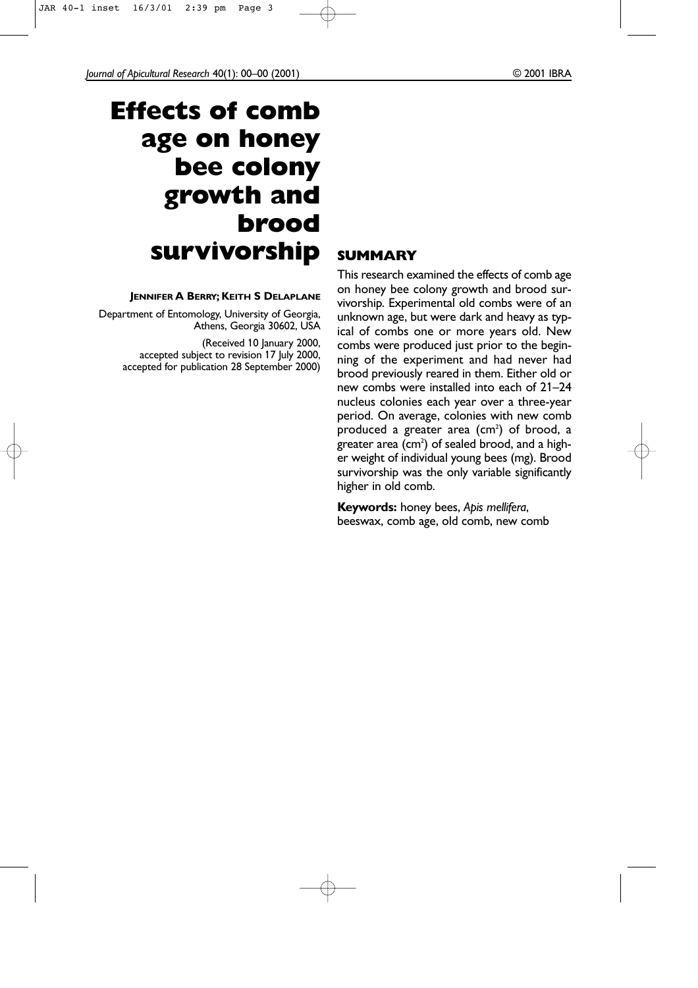*Journal of Apicultural Research* 40(1): 00–00 (2001) © 2001 IBRA

# **Effects of comb age on honey bee colony growth and brood survivorship**

## **JENNIFER A BERRY; KEITH S DELAPLANE**

Department of Entomology, University of Georgia, Athens, Georgia 30602, USA

> (Received 10 January 2000, accepted subject to revision 17 July 2000, accepted for publication 28 September 2000)

## **SUMMARY**

This research examined the effects of comb age on honey bee colony growth and brood survivorship. Experimental old combs were of an unknown age, but were dark and heavy as typical of combs one or more years old. New combs were produced just prior to the beginning of the experiment and had never had brood previously reared in them. Either old or new combs were installed into each of 21–24 nucleus colonies each year over a three-year period. On average, colonies with new comb produced a greater area (cm<sup>2</sup>) of brood, a greater area (cm $^2$ ) of sealed brood, and a higher weight of individual young bees (mg). Brood survivorship was the only variable significantly higher in old comb.

**Keywords:** honey bees, *Apis mellifera*, beeswax, comb age, old comb, new comb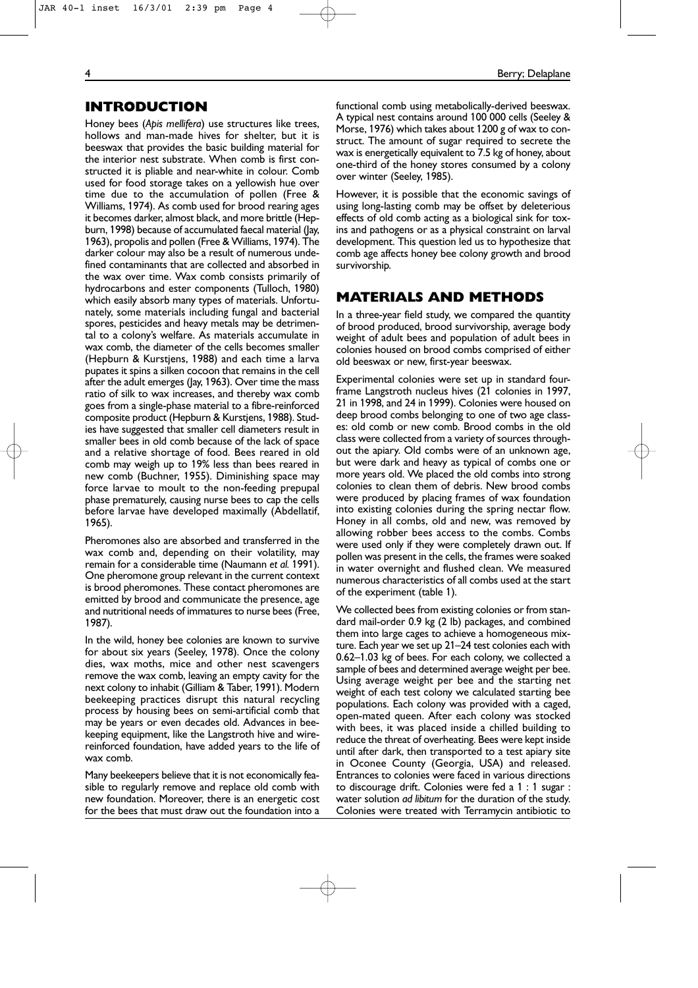## JAR 40-1 inset 16/3/01 2:39 pm Page 4

## **INTRODUCTION**

Honey bees (*Apis mellifera*) use structures like trees, hollows and man-made hives for shelter, but it is beeswax that provides the basic building material for the interior nest substrate. When comb is first constructed it is pliable and near-white in colour. Comb used for food storage takes on a yellowish hue over time due to the accumulation of pollen (Free & Williams, 1974). As comb used for brood rearing ages it becomes darker, almost black, and more brittle (Hepburn, 1998) because of accumulated faecal material (Jay, 1963), propolis and pollen (Free & Williams, 1974). The darker colour may also be a result of numerous undefined contaminants that are collected and absorbed in the wax over time. Wax comb consists primarily of hydrocarbons and ester components (Tulloch, 1980) which easily absorb many types of materials. Unfortunately, some materials including fungal and bacterial spores, pesticides and heavy metals may be detrimental to a colony's welfare. As materials accumulate in wax comb, the diameter of the cells becomes smaller (Hepburn & Kurstjens, 1988) and each time a larva pupates it spins a silken cocoon that remains in the cell after the adult emerges (Jay, 1963). Over time the mass ratio of silk to wax increases, and thereby wax comb goes from a single-phase material to a fibre-reinforced composite product (Hepburn & Kurstjens, 1988). Studies have suggested that smaller cell diameters result in smaller bees in old comb because of the lack of space and a relative shortage of food. Bees reared in old comb may weigh up to 19% less than bees reared in new comb (Buchner, 1955). Diminishing space may force larvae to moult to the non-feeding prepupal phase prematurely, causing nurse bees to cap the cells before larvae have developed maximally (Abdellatif, 1965).

Pheromones also are absorbed and transferred in the wax comb and, depending on their volatility, may remain for a considerable time (Naumann *et al.* 1991). One pheromone group relevant in the current context is brood pheromones. These contact pheromones are emitted by brood and communicate the presence, age and nutritional needs of immatures to nurse bees (Free, 1987).

In the wild, honey bee colonies are known to survive for about six years (Seeley, 1978). Once the colony dies, wax moths, mice and other nest scavengers remove the wax comb, leaving an empty cavity for the next colony to inhabit (Gilliam & Taber, 1991). Modern beekeeping practices disrupt this natural recycling process by housing bees on semi-artificial comb that may be years or even decades old. Advances in beekeeping equipment, like the Langstroth hive and wirereinforced foundation, have added years to the life of wax comb.

Many beekeepers believe that it is not economically feasible to regularly remove and replace old comb with new foundation. Moreover, there is an energetic cost for the bees that must draw out the foundation into a functional comb using metabolically-derived beeswax. A typical nest contains around 100 000 cells (Seeley & Morse, 1976) which takes about 1200 g of wax to construct. The amount of sugar required to secrete the wax is energetically equivalent to 7.5 kg of honey, about one-third of the honey stores consumed by a colony over winter (Seeley, 1985).

However, it is possible that the economic savings of using long-lasting comb may be offset by deleterious effects of old comb acting as a biological sink for toxins and pathogens or as a physical constraint on larval development. This question led us to hypothesize that comb age affects honey bee colony growth and brood survivorship.

## **MATERIALS AND METHODS**

In a three-year field study, we compared the quantity of brood produced, brood survivorship, average body weight of adult bees and population of adult bees in colonies housed on brood combs comprised of either old beeswax or new, first-year beeswax.

Experimental colonies were set up in standard fourframe Langstroth nucleus hives (21 colonies in 1997, 21 in 1998, and 24 in 1999). Colonies were housed on deep brood combs belonging to one of two age classes: old comb or new comb. Brood combs in the old class were collected from a variety of sources throughout the apiary. Old combs were of an unknown age, but were dark and heavy as typical of combs one or more years old. We placed the old combs into strong colonies to clean them of debris. New brood combs were produced by placing frames of wax foundation into existing colonies during the spring nectar flow. Honey in all combs, old and new, was removed by allowing robber bees access to the combs. Combs were used only if they were completely drawn out. If pollen was present in the cells, the frames were soaked in water overnight and flushed clean. We measured numerous characteristics of all combs used at the start of the experiment (table 1).

We collected bees from existing colonies or from standard mail-order 0.9 kg (2 lb) packages, and combined them into large cages to achieve a homogeneous mixture. Each year we set up 21–24 test colonies each with 0.62–1.03 kg of bees. For each colony, we collected a sample of bees and determined average weight per bee. Using average weight per bee and the starting net weight of each test colony we calculated starting bee populations. Each colony was provided with a caged, open-mated queen. After each colony was stocked with bees, it was placed inside a chilled building to reduce the threat of overheating. Bees were kept inside until after dark, then transported to a test apiary site in Oconee County (Georgia, USA) and released. Entrances to colonies were faced in various directions to discourage drift. Colonies were fed a 1 : 1 sugar : water solution *ad libitum* for the duration of the study. Colonies were treated with Terramycin antibiotic to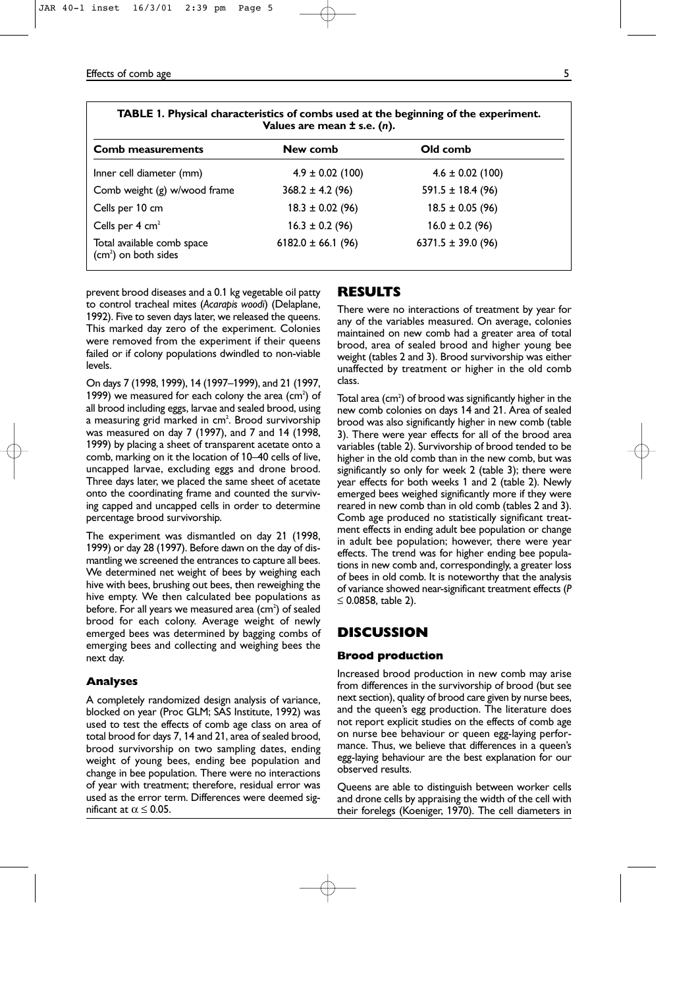#### Effects of comb age 5

| TABLE 1. Physical characteristics of combs used at the beginning of the experiment.<br>Values are mean $\pm$ s.e. (n). |                        |                        |  |  |  |
|------------------------------------------------------------------------------------------------------------------------|------------------------|------------------------|--|--|--|
| <b>Comb measurements</b>                                                                                               | New comb               | Old comb               |  |  |  |
| Inner cell diameter (mm)                                                                                               | $4.9 \pm 0.02$ (100)   | $4.6 \pm 0.02$ (100)   |  |  |  |
| Comb weight (g) w/wood frame                                                                                           | $368.2 \pm 4.2$ (96)   | $591.5 \pm 18.4$ (96)  |  |  |  |
| Cells per 10 cm                                                                                                        | $18.3 \pm 0.02$ (96)   | $18.5 \pm 0.05$ (96)   |  |  |  |
| Cells per $4 \text{ cm}^2$                                                                                             | $16.3 \pm 0.2$ (96)    | $16.0 \pm 0.2$ (96)    |  |  |  |
| Total available comb space<br>$(cm2)$ on both sides                                                                    | $6182.0 \pm 66.1$ (96) | 6371.5 $\pm$ 39.0 (96) |  |  |  |

prevent brood diseases and a 0.1 kg vegetable oil patty to control tracheal mites (*Acarapis woodi*) (Delaplane, 1992). Five to seven days later, we released the queens. This marked day zero of the experiment. Colonies were removed from the experiment if their queens failed or if colony populations dwindled to non-viable levels.

On days 7 (1998, 1999), 14 (1997–1999), and 21 (1997, 1999) we measured for each colony the area  $(cm<sup>2</sup>)$  of all brood including eggs, larvae and sealed brood, using a measuring grid marked in cm<sup>2</sup>. Brood survivorship was measured on day 7 (1997), and 7 and 14 (1998, 1999) by placing a sheet of transparent acetate onto a comb, marking on it the location of 10–40 cells of live, uncapped larvae, excluding eggs and drone brood. Three days later, we placed the same sheet of acetate onto the coordinating frame and counted the surviving capped and uncapped cells in order to determine percentage brood survivorship.

The experiment was dismantled on day 21 (1998, 1999) or day 28 (1997). Before dawn on the day of dismantling we screened the entrances to capture all bees. We determined net weight of bees by weighing each hive with bees, brushing out bees, then reweighing the hive empty. We then calculated bee populations as before. For all years we measured area (cm<sup>2</sup>) of sealed brood for each colony. Average weight of newly emerged bees was determined by bagging combs of emerging bees and collecting and weighing bees the next day.

## **Analyses**

A completely randomized design analysis of variance, blocked on year (Proc GLM; SAS Institute, 1992) was used to test the effects of comb age class on area of total brood for days 7, 14 and 21, area of sealed brood, brood survivorship on two sampling dates, ending weight of young bees, ending bee population and change in bee population. There were no interactions of year with treatment; therefore, residual error was used as the error term. Differences were deemed significant at  $\alpha \leq 0.05$ .

## **RESULTS**

There were no interactions of treatment by year for any of the variables measured. On average, colonies maintained on new comb had a greater area of total brood, area of sealed brood and higher young bee weight (tables 2 and 3). Brood survivorship was either unaffected by treatment or higher in the old comb class.

Total area (cm $^{2}$ ) of brood was significantly higher in the new comb colonies on days 14 and 21. Area of sealed brood was also significantly higher in new comb (table 3). There were year effects for all of the brood area variables (table 2). Survivorship of brood tended to be higher in the old comb than in the new comb, but was significantly so only for week 2 (table 3); there were year effects for both weeks 1 and 2 (table 2). Newly emerged bees weighed significantly more if they were reared in new comb than in old comb (tables 2 and 3). Comb age produced no statistically significant treatment effects in ending adult bee population or change in adult bee population; however, there were year effects. The trend was for higher ending bee populations in new comb and, correspondingly, a greater loss of bees in old comb. It is noteworthy that the analysis of variance showed near-significant treatment effects (*P* ≤ 0.0858, table 2).

## **DISCUSSION**

#### **Brood production**

Increased brood production in new comb may arise from differences in the survivorship of brood (but see next section), quality of brood care given by nurse bees, and the queen's egg production. The literature does not report explicit studies on the effects of comb age on nurse bee behaviour or queen egg-laying performance. Thus, we believe that differences in a queen's egg-laying behaviour are the best explanation for our observed results.

Queens are able to distinguish between worker cells and drone cells by appraising the width of the cell with their forelegs (Koeniger, 1970). The cell diameters in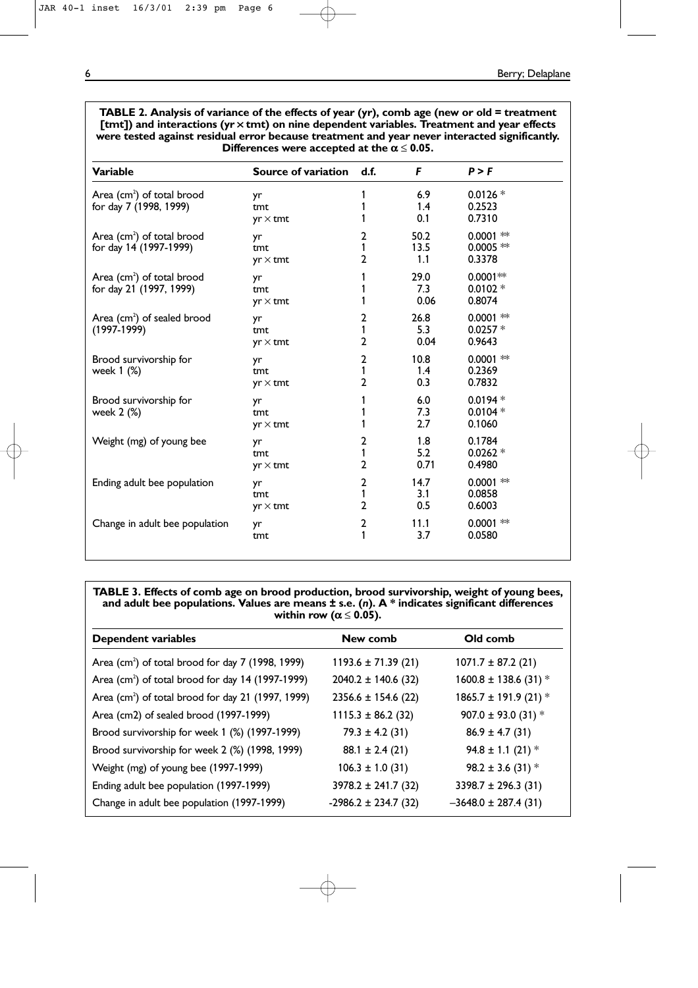**TABLE 2. Analysis of variance of the effects of year (yr), comb age (new or old = treatment [tmt]) and interactions (yr ¥ tmt) on nine dependent variables. Treatment and year effects were tested against residual error because treatment and year never interacted significantly. Differences were accepted at the**  $\alpha \le 0.05$ **.** 

| <b>Variable</b>                                                   | Source of variation          | d.f.                                | F                   | P > F                                |
|-------------------------------------------------------------------|------------------------------|-------------------------------------|---------------------|--------------------------------------|
| Area (cm <sup>2</sup> ) of total brood<br>for day 7 (1998, 1999)  | yr<br>tmt<br>$yr \times tmt$ | 1                                   | 6.9<br>1.4<br>0.1   | $0.0126 *$<br>0.2523<br>0.7310       |
| Area $(cm2)$ of total brood<br>for day 14 (1997-1999)             | yr<br>tmt<br>$yr \times$ tmt | 2<br>1<br>2                         | 50.2<br>13.5<br>1.1 | $0.0001$ **<br>$0.0005$ **<br>0.3378 |
| Area (cm <sup>2</sup> ) of total brood<br>for day 21 (1997, 1999) | yr<br>tmt<br>$yr \times$ tmt | 1<br>1                              | 29.0<br>7.3<br>0.06 | $0.0001**$<br>$0.0102 *$<br>0.8074   |
| Area (cm <sup>2</sup> ) of sealed brood<br>$(1997-1999)$          | yr<br>tmt<br>$yr \times$ tmt | 2<br>1<br>2                         | 26.8<br>5.3<br>0.04 | $0.0001$ **<br>$0.0257*$<br>0.9643   |
| Brood survivorship for<br>week 1 (%)                              | yr<br>tmt<br>$yr \times$ tmt | $\mathbf{2}$<br>1<br>$\overline{2}$ | 10.8<br>1.4<br>0.3  | $0.0001$ **<br>0.2369<br>0.7832      |
| Brood survivorship for<br>week 2 (%)                              | yr<br>tmt<br>$yr \times$ tmt | 1                                   | 6.0<br>7.3<br>2.7   | $0.0194*$<br>$0.0104*$<br>0.1060     |
| Weight (mg) of young bee                                          | yr<br>tmt<br>$yr \times$ tmt | 2<br>1<br>$\mathbf{2}$              | 1.8<br>5.2<br>0.71  | 0.1784<br>$0.0262*$<br>0.4980        |
| Ending adult bee population                                       | yr<br>tmt<br>$yr \times$ tmt | 2<br>1<br>2                         | 14.7<br>3.1<br>0.5  | $0.0001$ **<br>0.0858<br>0.6003      |
| Change in adult bee population                                    | yr<br>tmt                    | $\overline{2}$<br>1                 | 11.1<br>3.7         | $0.0001$ **<br>0.0580                |

**TABLE 3. Effects of comb age on brood production, brood survivorship, weight of young bees, and adult bee populations. Values are means ± s.e. (***n***). A \* indicates significant differences within row (** $\alpha \le 0.05$ **).** 

| <b>Dependent variables</b>                                      | New comb                 | Old comb                  |
|-----------------------------------------------------------------|--------------------------|---------------------------|
| Area (cm <sup>2</sup> ) of total brood for day $7$ (1998, 1999) | $1193.6 \pm 71.39(21)$   | $1071.7 \pm 87.2$ (21)    |
| Area (cm <sup>2</sup> ) of total brood for day 14 (1997-1999)   | $2040.2 \pm 140.6$ (32)  | $1600.8 \pm 138.6$ (31) * |
| Area (cm <sup>2</sup> ) of total brood for day 21 (1997, 1999)  | $2356.6 \pm 154.6$ (22)  | $1865.7 \pm 191.9$ (21) * |
| Area (cm2) of sealed brood (1997-1999)                          | $1115.3 \pm 86.2$ (32)   | $907.0 \pm 93.0$ (31) *   |
| Brood survivorship for week 1 (%) (1997-1999)                   | $79.3 \pm 4.2$ (31)      | $86.9 \pm 4.7$ (31)       |
| Brood survivorship for week 2 (%) (1998, 1999)                  | $88.1 \pm 2.4$ (21)      | 94.8 ± 1.1 (21) $*$       |
| Weight (mg) of young bee (1997-1999)                            | $106.3 \pm 1.0$ (31)     | 98.2 ± 3.6 (31) $*$       |
| Ending adult bee population (1997-1999)                         | $3978.2 \pm 241.7$ (32)  | $3398.7 \pm 296.3$ (31)   |
| Change in adult bee population (1997-1999)                      | $-2986.2 \pm 234.7$ (32) | $-3648.0 \pm 287.4$ (31)  |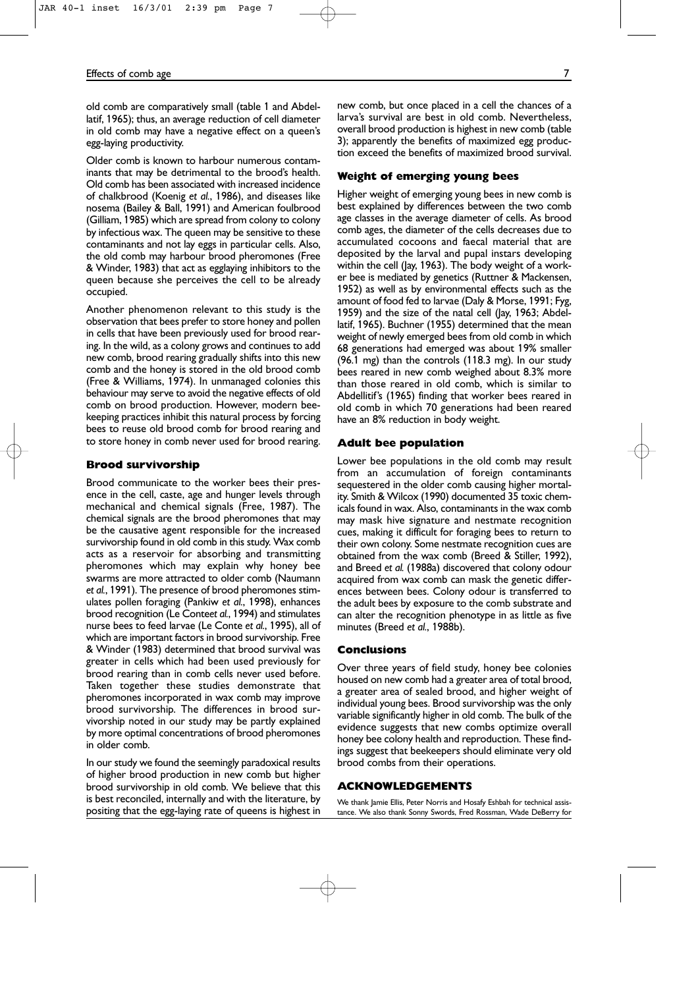### Effects of comb age 7

old comb are comparatively small (table 1 and Abdellatif, 1965); thus, an average reduction of cell diameter in old comb may have a negative effect on a queen's egg-laying productivity.

Older comb is known to harbour numerous contaminants that may be detrimental to the brood's health. Old comb has been associated with increased incidence of chalkbrood (Koenig *et al.*, 1986), and diseases like nosema (Bailey & Ball, 1991) and American foulbrood (Gilliam, 1985) which are spread from colony to colony by infectious wax. The queen may be sensitive to these contaminants and not lay eggs in particular cells. Also, the old comb may harbour brood pheromones (Free & Winder, 1983) that act as egglaying inhibitors to the queen because she perceives the cell to be already occupied.

Another phenomenon relevant to this study is the observation that bees prefer to store honey and pollen in cells that have been previously used for brood rearing. In the wild, as a colony grows and continues to add new comb, brood rearing gradually shifts into this new comb and the honey is stored in the old brood comb (Free & Williams, 1974). In unmanaged colonies this behaviour may serve to avoid the negative effects of old comb on brood production. However, modern beekeeping practices inhibit this natural process by forcing bees to reuse old brood comb for brood rearing and to store honey in comb never used for brood rearing.

#### **Brood survivorship**

Brood communicate to the worker bees their presence in the cell, caste, age and hunger levels through mechanical and chemical signals (Free, 1987). The chemical signals are the brood pheromones that may be the causative agent responsible for the increased survivorship found in old comb in this study. Wax comb acts as a reservoir for absorbing and transmitting pheromones which may explain why honey bee swarms are more attracted to older comb (Naumann *et al.*, 1991). The presence of brood pheromones stimulates pollen foraging (Pankiw *et al.*, 1998), enhances brood recognition (Le Conte*et al.*, 1994) and stimulates nurse bees to feed larvae (Le Conte *et al.*, 1995), all of which are important factors in brood survivorship. Free & Winder (1983) determined that brood survival was greater in cells which had been used previously for brood rearing than in comb cells never used before. Taken together these studies demonstrate that pheromones incorporated in wax comb may improve brood survivorship. The differences in brood survivorship noted in our study may be partly explained by more optimal concentrations of brood pheromones in older comb.

In our study we found the seemingly paradoxical results of higher brood production in new comb but higher brood survivorship in old comb. We believe that this is best reconciled, internally and with the literature, by positing that the egg-laying rate of queens is highest in new comb, but once placed in a cell the chances of a larva's survival are best in old comb. Nevertheless, overall brood production is highest in new comb (table 3); apparently the benefits of maximized egg production exceed the benefits of maximized brood survival.

#### **Weight of emerging young bees**

Higher weight of emerging young bees in new comb is best explained by differences between the two comb age classes in the average diameter of cells. As brood comb ages, the diameter of the cells decreases due to accumulated cocoons and faecal material that are deposited by the larval and pupal instars developing within the cell (Jay, 1963). The body weight of a worker bee is mediated by genetics (Ruttner & Mackensen, 1952) as well as by environmental effects such as the amount of food fed to larvae (Daly & Morse, 1991; Fyg, 1959) and the size of the natal cell (Jay, 1963; Abdellatif, 1965). Buchner (1955) determined that the mean weight of newly emerged bees from old comb in which 68 generations had emerged was about 19% smaller (96.1 mg) than the controls (118.3 mg). In our study bees reared in new comb weighed about 8.3% more than those reared in old comb, which is similar to Abdellitif's (1965) finding that worker bees reared in old comb in which 70 generations had been reared have an 8% reduction in body weight.

#### **Adult bee population**

Lower bee populations in the old comb may result from an accumulation of foreign contaminants sequestered in the older comb causing higher mortality. Smith & Wilcox (1990) documented 35 toxic chemicals found in wax. Also, contaminants in the wax comb may mask hive signature and nestmate recognition cues, making it difficult for foraging bees to return to their own colony. Some nestmate recognition cues are obtained from the wax comb (Breed & Stiller, 1992), and Breed *et al.* (1988a) discovered that colony odour acquired from wax comb can mask the genetic differences between bees. Colony odour is transferred to the adult bees by exposure to the comb substrate and can alter the recognition phenotype in as little as five minutes (Breed *et al.*, 1988b).

## **Conclusions**

Over three years of field study, honey bee colonies housed on new comb had a greater area of total brood, a greater area of sealed brood, and higher weight of individual young bees. Brood survivorship was the only variable significantly higher in old comb. The bulk of the evidence suggests that new combs optimize overall honey bee colony health and reproduction. These findings suggest that beekeepers should eliminate very old brood combs from their operations.

### **ACKNOWLEDGEMENTS**

We thank Jamie Ellis, Peter Norris and Hosafy Eshbah for technical assistance. We also thank Sonny Swords, Fred Rossman, Wade DeBerry for